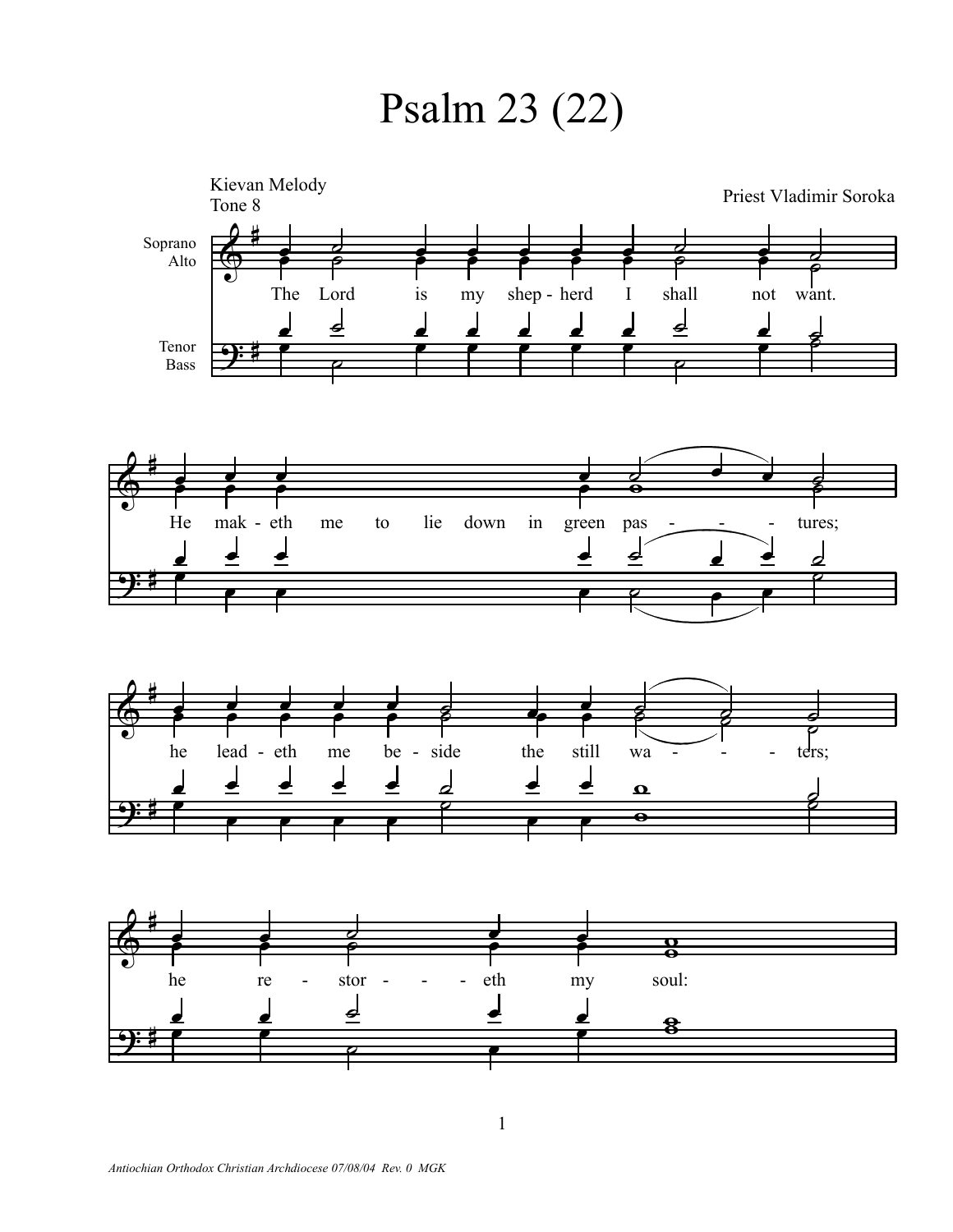Psalm 23 (22)

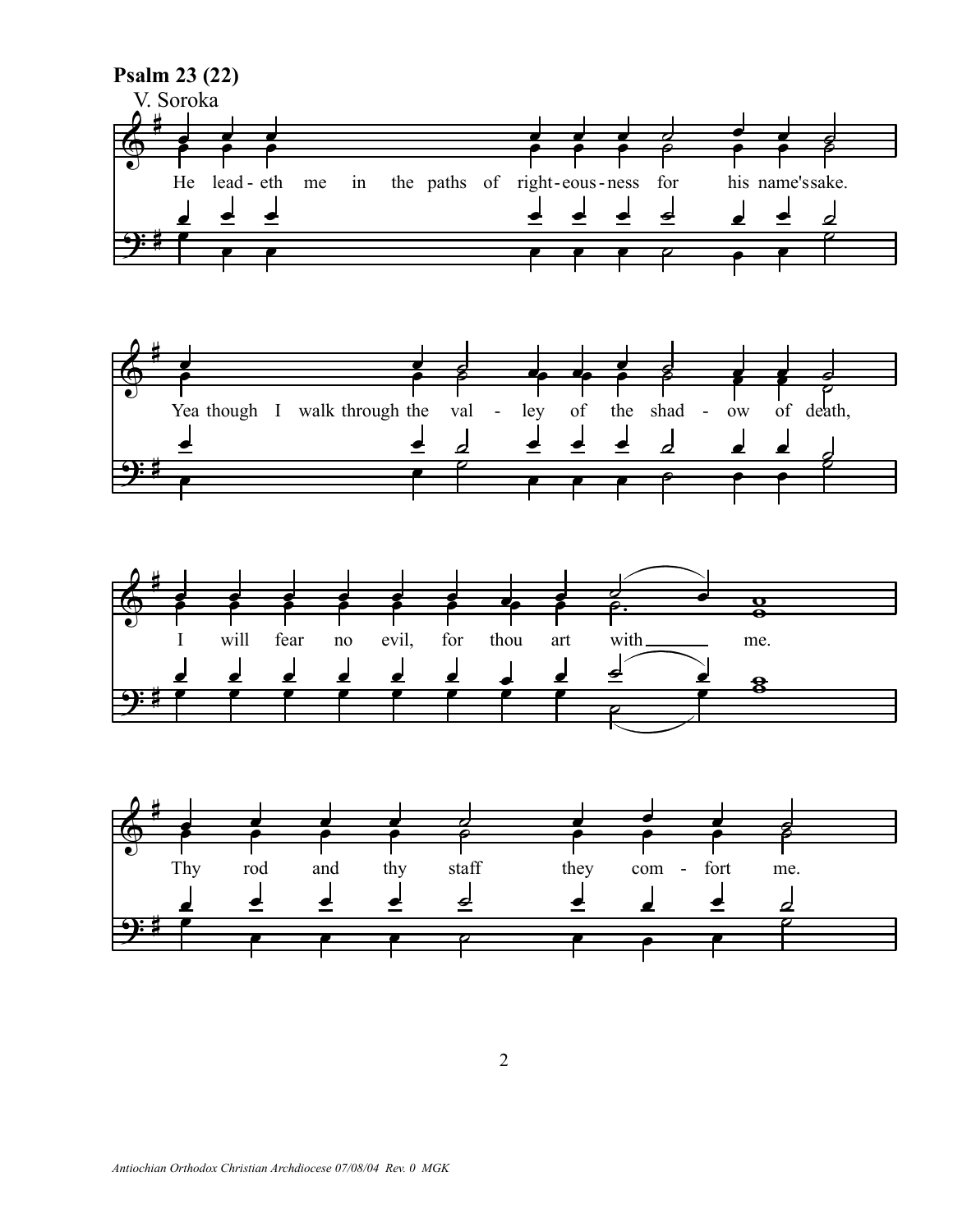

2